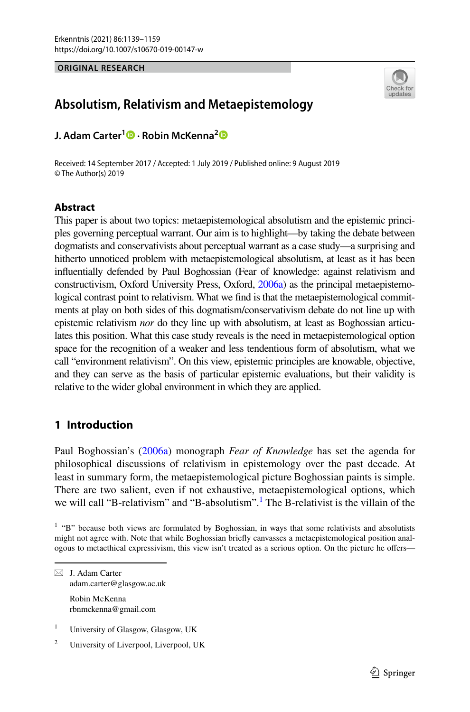#### **ORIGINAL RESEARCH**



# **Absolutism, Relativism and Metaepistemology**

**J. Adam Carter<sup>1</sup> · Robin McKenna[2](http://orcid.org/0000-0001-5129-7850)**

Received: 14 September 2017 / Accepted: 1 July 2019 / Published online: 9 August 2019 © The Author(s) 2019

### **Abstract**

This paper is about two topics: metaepistemological absolutism and the epistemic principles governing perceptual warrant. Our aim is to highlight—by taking the debate between dogmatists and conservativists about perceptual warrant as a case study—a surprising and hitherto unnoticed problem with metaepistemological absolutism, at least as it has been infuentially defended by Paul Boghossian (Fear of knowledge: against relativism and constructivism, Oxford University Press, Oxford, [2006a\)](#page-19-0) as the principal metaepistemological contrast point to relativism. What we fnd is that the metaepistemological commitments at play on both sides of this dogmatism/conservativism debate do not line up with epistemic relativism *nor* do they line up with absolutism, at least as Boghossian articulates this position. What this case study reveals is the need in metaepistemological option space for the recognition of a weaker and less tendentious form of absolutism, what we call "environment relativism". On this view, epistemic principles are knowable, objective, and they can serve as the basis of particular epistemic evaluations, but their validity is relative to the wider global environment in which they are applied.

### **1 Introduction**

Paul Boghossian's ([2006a](#page-19-0)) monograph *Fear of Knowledge* has set the agenda for philosophical discussions of relativism in epistemology over the past decade. At least in summary form, the metaepistemological picture Boghossian paints is simple. There are two salient, even if not exhaustive, metaepistemological options, which we will call "B-relativism" and "B-absolutism".<sup>[1](#page-0-0)</sup> The B-relativist is the villain of the

rbnmckenna@gmail.com

- <sup>1</sup> University of Glasgow, Glasgow, UK
- <sup>2</sup> University of Liverpool, Liverpool, UK

<span id="page-0-0"></span><sup>&</sup>lt;sup>1</sup> "B" because both views are formulated by Boghossian, in ways that some relativists and absolutists might not agree with. Note that while Boghossian briefy canvasses a metaepistemological position analogous to metaethical expressivism, this view isn't treated as a serious option. On the picture he ofers—

 $\boxtimes$  J. Adam Carter adam.carter@glasgow.ac.uk Robin McKenna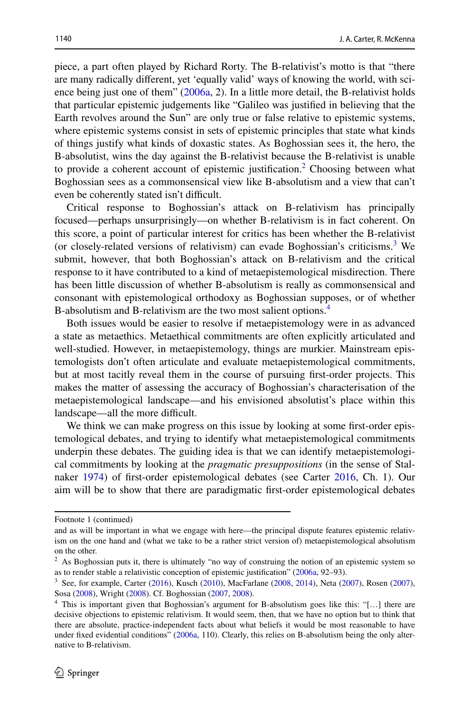piece, a part often played by Richard Rorty. The B-relativist's motto is that "there are many radically diferent, yet 'equally valid' ways of knowing the world, with science being just one of them" [\(2006a,](#page-19-0) 2). In a little more detail, the B-relativist holds that particular epistemic judgements like "Galileo was justifed in believing that the Earth revolves around the Sun" are only true or false relative to epistemic systems, where epistemic systems consist in sets of epistemic principles that state what kinds of things justify what kinds of doxastic states. As Boghossian sees it, the hero, the B-absolutist, wins the day against the B-relativist because the B-relativist is unable to provide a coherent account of epistemic justification.<sup>2</sup> Choosing between what Boghossian sees as a commonsensical view like B-absolutism and a view that can't even be coherently stated isn't difficult.

Critical response to Boghossian's attack on B-relativism has principally focused—perhaps unsurprisingly—on whether B-relativism is in fact coherent. On this score, a point of particular interest for critics has been whether the B-relativist (or closely-related versions of relativism) can evade Boghossian's criticisms.[3](#page-1-1) We submit, however, that both Boghossian's attack on B-relativism and the critical response to it have contributed to a kind of metaepistemological misdirection. There has been little discussion of whether B-absolutism is really as commonsensical and consonant with epistemological orthodoxy as Boghossian supposes, or of whether B-absolutism and B-relativism are the two most salient options.<sup>4</sup>

Both issues would be easier to resolve if metaepistemology were in as advanced a state as metaethics. Metaethical commitments are often explicitly articulated and well-studied. However, in metaepistemology, things are murkier. Mainstream epistemologists don't often articulate and evaluate metaepistemological commitments, but at most tacitly reveal them in the course of pursuing frst-order projects. This makes the matter of assessing the accuracy of Boghossian's characterisation of the metaepistemological landscape—and his envisioned absolutist's place within this landscape—all the more difficult.

We think we can make progress on this issue by looking at some first-order epistemological debates, and trying to identify what metaepistemological commitments underpin these debates. The guiding idea is that we can identify metaepistemological commitments by looking at the *pragmatic presuppositions* (in the sense of Stalnaker [1974](#page-20-0)) of frst-order epistemological debates (see Carter [2016,](#page-19-1) Ch. 1). Our aim will be to show that there are paradigmatic frst-order epistemological debates

Footnote 1 (continued)

and as will be important in what we engage with here—the principal dispute features epistemic relativism on the one hand and (what we take to be a rather strict version of) metaepistemological absolutism on the other.

<span id="page-1-0"></span><sup>&</sup>lt;sup>2</sup> As Boghossian puts it, there is ultimately "no way of construing the notion of an epistemic system so as to render stable a relativistic conception of epistemic justifcation" ([2006a](#page-19-0), 92–93).

<span id="page-1-1"></span><sup>&</sup>lt;sup>3</sup> See, for example, Carter ([2016\)](#page-19-1), Kusch [\(2010](#page-20-1)), MacFarlane [\(2008](#page-20-2), [2014\)](#page-20-3), Neta ([2007\)](#page-20-5), Rosen (2007), Sosa ([2008\)](#page-20-6), Wright ([2008\)](#page-20-7). Cf. Boghossian [\(2007](#page-19-2), [2008](#page-19-3)).

<span id="page-1-2"></span><sup>4</sup> This is important given that Boghossian's argument for B-absolutism goes like this: "[…] there are decisive objections to epistemic relativism. It would seem, then, that we have no option but to think that there are absolute, practice-independent facts about what beliefs it would be most reasonable to have under fixed evidential conditions" ([2006a,](#page-19-0) 110). Clearly, this relies on B-absolutism being the only alternative to B-relativism.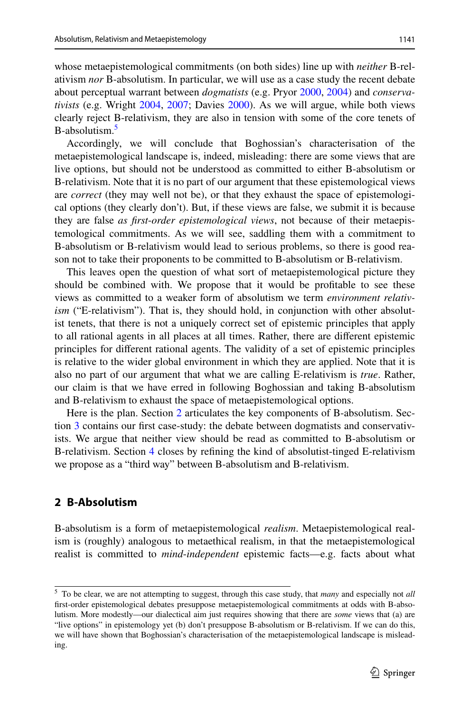whose metaepistemological commitments (on both sides) line up with *neither* B-relativism *nor* B-absolutism. In particular, we will use as a case study the recent debate about perceptual warrant between *dogmatists* (e.g. Pryor [2000](#page-20-8), [2004\)](#page-20-9) and *conservativists* (e.g. Wright [2004](#page-20-10), [2007](#page-20-11); Davies [2000](#page-20-12)). As we will argue, while both views clearly reject B-relativism, they are also in tension with some of the core tenets of B-absolutism.<sup>[5](#page-2-0)</sup>

Accordingly, we will conclude that Boghossian's characterisation of the metaepistemological landscape is, indeed, misleading: there are some views that are live options, but should not be understood as committed to either B-absolutism or B-relativism. Note that it is no part of our argument that these epistemological views are *correct* (they may well not be), or that they exhaust the space of epistemological options (they clearly don't). But, if these views are false, we submit it is because they are false *as frst*-*order epistemological views*, not because of their metaepistemological commitments. As we will see, saddling them with a commitment to B-absolutism or B-relativism would lead to serious problems, so there is good reason not to take their proponents to be committed to B-absolutism or B-relativism.

This leaves open the question of what sort of metaepistemological picture they should be combined with. We propose that it would be proftable to see these views as committed to a weaker form of absolutism we term *environment relativism* ("E-relativism"). That is, they should hold, in conjunction with other absolutist tenets, that there is not a uniquely correct set of epistemic principles that apply to all rational agents in all places at all times. Rather, there are diferent epistemic principles for diferent rational agents. The validity of a set of epistemic principles is relative to the wider global environment in which they are applied. Note that it is also no part of our argument that what we are calling E-relativism is *true*. Rather, our claim is that we have erred in following Boghossian and taking B-absolutism and B-relativism to exhaust the space of metaepistemological options.

Here is the plan. Section [2](#page-2-1) articulates the key components of B-absolutism. Section [3](#page-6-0) contains our frst case-study: the debate between dogmatists and conservativists. We argue that neither view should be read as committed to B-absolutism or B-relativism. Section [4](#page-17-0) closes by refning the kind of absolutist-tinged E-relativism we propose as a "third way" between B-absolutism and B-relativism.

## <span id="page-2-1"></span>**2 B‑Absolutism**

B-absolutism is a form of metaepistemological *realism*. Metaepistemological realism is (roughly) analogous to metaethical realism, in that the metaepistemological realist is committed to *mind*-*independent* epistemic facts—e.g. facts about what

<span id="page-2-0"></span><sup>5</sup> To be clear, we are not attempting to suggest, through this case study, that *many* and especially not *all* frst-order epistemological debates presuppose metaepistemological commitments at odds with B-absolutism. More modestly—our dialectical aim just requires showing that there are *some* views that (a) are "live options" in epistemology yet (b) don't presuppose B-absolutism or B-relativism. If we can do this, we will have shown that Boghossian's characterisation of the metaepistemological landscape is misleading.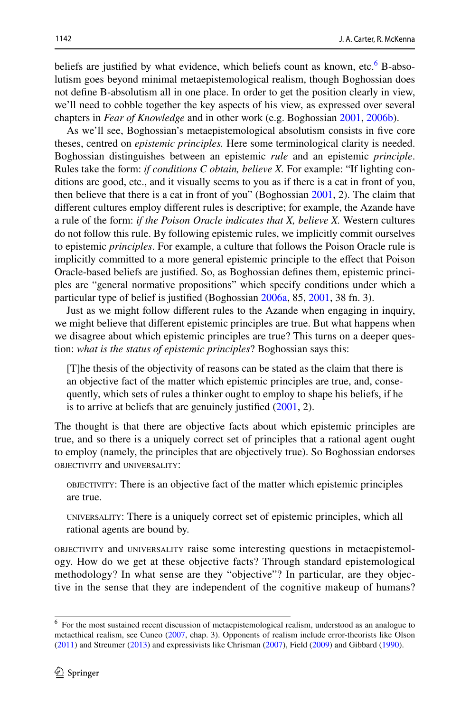beliefs are justified by what evidence, which beliefs count as known, etc.<sup>[6](#page-3-0)</sup> B-absolutism goes beyond minimal metaepistemological realism, though Boghossian does not defne B-absolutism all in one place. In order to get the position clearly in view, we'll need to cobble together the key aspects of his view, as expressed over several chapters in *Fear of Knowledge* and in other work (e.g. Boghossian [2001,](#page-19-4) [2006b\)](#page-19-5).

As we'll see, Boghossian's metaepistemological absolutism consists in fve core theses, centred on *epistemic principles.* Here some terminological clarity is needed. Boghossian distinguishes between an epistemic *rule* and an epistemic *principle*. Rules take the form: *if conditions C obtain, believe X.* For example: "If lighting conditions are good, etc., and it visually seems to you as if there is a cat in front of you, then believe that there is a cat in front of you" (Boghossian [2001](#page-19-4), 2). The claim that diferent cultures employ diferent rules is descriptive; for example, the Azande have a rule of the form: *if the Poison Oracle indicates that X, believe X.* Western cultures do not follow this rule. By following epistemic rules, we implicitly commit ourselves to epistemic *principles*. For example, a culture that follows the Poison Oracle rule is implicitly committed to a more general epistemic principle to the efect that Poison Oracle-based beliefs are justifed. So, as Boghossian defnes them, epistemic principles are "general normative propositions" which specify conditions under which a particular type of belief is justifed (Boghossian [2006a,](#page-19-0) 85, [2001,](#page-19-4) 38 fn. 3).

Just as we might follow diferent rules to the Azande when engaging in inquiry, we might believe that diferent epistemic principles are true. But what happens when we disagree about which epistemic principles are true? This turns on a deeper question: *what is the status of epistemic principles*? Boghossian says this:

[T]he thesis of the objectivity of reasons can be stated as the claim that there is an objective fact of the matter which epistemic principles are true, and, consequently, which sets of rules a thinker ought to employ to shape his beliefs, if he is to arrive at beliefs that are genuinely justifed [\(2001](#page-19-4), 2).

The thought is that there are objective facts about which epistemic principles are true, and so there is a uniquely correct set of principles that a rational agent ought to employ (namely, the principles that are objectively true). So Boghossian endorses objectivity and universality:

objectivity: There is an objective fact of the matter which epistemic principles are true.

universality: There is a uniquely correct set of epistemic principles, which all rational agents are bound by.

objectivity and universality raise some interesting questions in metaepistemology. How do we get at these objective facts? Through standard epistemological methodology? In what sense are they "objective"? In particular, are they objective in the sense that they are independent of the cognitive makeup of humans?

<span id="page-3-0"></span> $6$  For the most sustained recent discussion of metaepistemological realism, understood as an analogue to metaethical realism, see Cuneo [\(2007](#page-19-6), chap. 3). Opponents of realism include error-theorists like Olson ([2011\)](#page-20-13) and Streumer ([2013\)](#page-20-14) and expressivists like Chrisman [\(2007](#page-19-7)), Field [\(2009](#page-20-15)) and Gibbard [\(1990](#page-20-16)).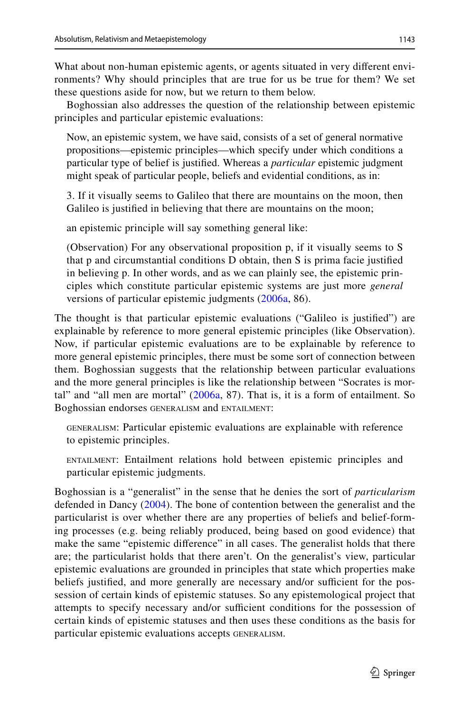What about non-human epistemic agents, or agents situated in very diferent environments? Why should principles that are true for us be true for them? We set these questions aside for now, but we return to them below.

Boghossian also addresses the question of the relationship between epistemic principles and particular epistemic evaluations:

Now, an epistemic system, we have said, consists of a set of general normative propositions—epistemic principles—which specify under which conditions a particular type of belief is justifed. Whereas a *particular* epistemic judgment might speak of particular people, beliefs and evidential conditions, as in:

3. If it visually seems to Galileo that there are mountains on the moon, then Galileo is justifed in believing that there are mountains on the moon;

an epistemic principle will say something general like:

(Observation) For any observational proposition p, if it visually seems to S that p and circumstantial conditions D obtain, then S is prima facie justifed in believing p. In other words, and as we can plainly see, the epistemic principles which constitute particular epistemic systems are just more *general* versions of particular epistemic judgments [\(2006a](#page-19-0), 86).

The thought is that particular epistemic evaluations ("Galileo is justifed") are explainable by reference to more general epistemic principles (like Observation). Now, if particular epistemic evaluations are to be explainable by reference to more general epistemic principles, there must be some sort of connection between them. Boghossian suggests that the relationship between particular evaluations and the more general principles is like the relationship between "Socrates is mortal" and "all men are mortal" ([2006a,](#page-19-0) 87). That is, it is a form of entailment. So Boghossian endorses generalism and entailment:

generalism: Particular epistemic evaluations are explainable with reference to epistemic principles.

entailment: Entailment relations hold between epistemic principles and particular epistemic judgments.

Boghossian is a "generalist" in the sense that he denies the sort of *particularism* defended in Dancy ([2004](#page-19-8)). The bone of contention between the generalist and the particularist is over whether there are any properties of beliefs and belief-forming processes (e.g. being reliably produced, being based on good evidence) that make the same "epistemic diference" in all cases. The generalist holds that there are; the particularist holds that there aren't. On the generalist's view, particular epistemic evaluations are grounded in principles that state which properties make beliefs justified, and more generally are necessary and/or sufficient for the possession of certain kinds of epistemic statuses. So any epistemological project that attempts to specify necessary and/or sufficient conditions for the possession of certain kinds of epistemic statuses and then uses these conditions as the basis for particular epistemic evaluations accepts generalism.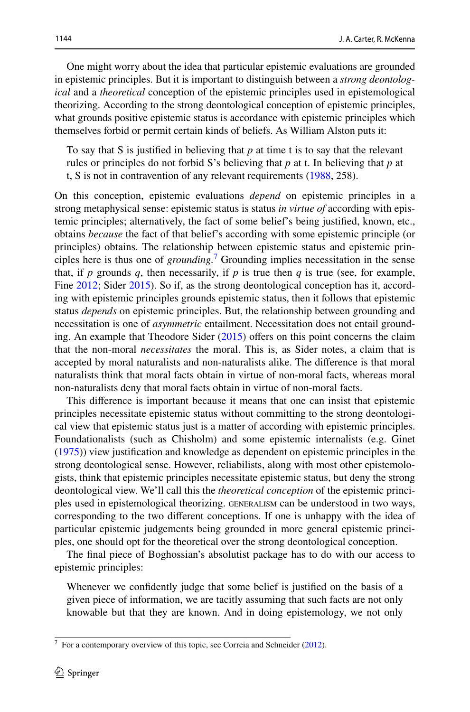One might worry about the idea that particular epistemic evaluations are grounded in epistemic principles. But it is important to distinguish between a *strong deontological* and a *theoretical* conception of the epistemic principles used in epistemological theorizing. According to the strong deontological conception of epistemic principles, what grounds positive epistemic status is accordance with epistemic principles which themselves forbid or permit certain kinds of beliefs. As William Alston puts it:

To say that S is justifed in believing that *p* at time t is to say that the relevant rules or principles do not forbid S's believing that *p* at t. In believing that *p* at t, S is not in contravention of any relevant requirements [\(1988](#page-19-9), 258).

On this conception, epistemic evaluations *depend* on epistemic principles in a strong metaphysical sense: epistemic status is status *in virtue of* according with epistemic principles; alternatively, the fact of some belief's being justifed, known, etc., obtains *because* the fact of that belief's according with some epistemic principle (or principles) obtains. The relationship between epistemic status and epistemic principles here is thus one of *grounding.*[7](#page-5-0) Grounding implies necessitation in the sense that, if *p* grounds *q*, then necessarily, if *p* is true then *q* is true (see, for example, Fine [2012](#page-20-17); Sider [2015\)](#page-20-18). So if, as the strong deontological conception has it, according with epistemic principles grounds epistemic status, then it follows that epistemic status *depends* on epistemic principles. But, the relationship between grounding and necessitation is one of *asymmetric* entailment. Necessitation does not entail ground-ing. An example that Theodore Sider ([2015\)](#page-20-18) offers on this point concerns the claim that the non-moral *necessitates* the moral. This is, as Sider notes, a claim that is accepted by moral naturalists and non-naturalists alike. The diference is that moral naturalists think that moral facts obtain in virtue of non-moral facts, whereas moral non-naturalists deny that moral facts obtain in virtue of non-moral facts.

This diference is important because it means that one can insist that epistemic principles necessitate epistemic status without committing to the strong deontological view that epistemic status just is a matter of according with epistemic principles. Foundationalists (such as Chisholm) and some epistemic internalists (e.g. Ginet [\(1975](#page-20-19))) view justifcation and knowledge as dependent on epistemic principles in the strong deontological sense. However, reliabilists, along with most other epistemologists, think that epistemic principles necessitate epistemic status, but deny the strong deontological view. We'll call this the *theoretical conception* of the epistemic principles used in epistemological theorizing. generalism can be understood in two ways, corresponding to the two diferent conceptions. If one is unhappy with the idea of particular epistemic judgements being grounded in more general epistemic principles, one should opt for the theoretical over the strong deontological conception.

The fnal piece of Boghossian's absolutist package has to do with our access to epistemic principles:

Whenever we confdently judge that some belief is justifed on the basis of a given piece of information, we are tacitly assuming that such facts are not only knowable but that they are known. And in doing epistemology, we not only

<span id="page-5-0"></span> $7$  For a contemporary overview of this topic, see Correia and Schneider [\(2012](#page-19-10)).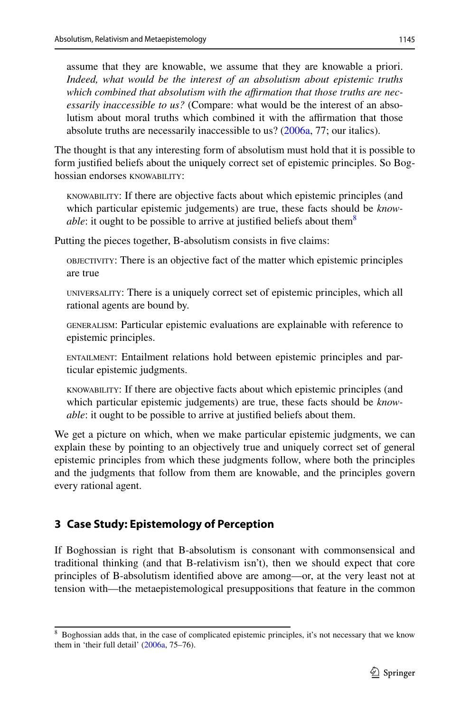assume that they are knowable, we assume that they are knowable a priori. *Indeed, what would be the interest of an absolutism about epistemic truths*  which combined that absolutism with the affirmation that those truths are nec*essarily inaccessible to us?* (Compare: what would be the interest of an absolutism about moral truths which combined it with the affirmation that those absolute truths are necessarily inaccessible to us? ([2006a](#page-19-0), 77; our italics).

The thought is that any interesting form of absolutism must hold that it is possible to form justifed beliefs about the uniquely correct set of epistemic principles. So Boghossian endorses **KNOWABILITY** 

knowability: If there are objective facts about which epistemic principles (and which particular epistemic judgements) are true, these facts should be *knowable*: it ought to be possible to arrive at justified beliefs about them<sup>8</sup>

Putting the pieces together, B-absolutism consists in five claims:

objectivity: There is an objective fact of the matter which epistemic principles are true

universality: There is a uniquely correct set of epistemic principles, which all rational agents are bound by.

generalism: Particular epistemic evaluations are explainable with reference to epistemic principles.

ENTAILMENT: Entailment relations hold between epistemic principles and particular epistemic judgments.

knowability: If there are objective facts about which epistemic principles (and which particular epistemic judgements) are true, these facts should be *knowable*: it ought to be possible to arrive at justifed beliefs about them.

We get a picture on which, when we make particular epistemic judgments, we can explain these by pointing to an objectively true and uniquely correct set of general epistemic principles from which these judgments follow, where both the principles and the judgments that follow from them are knowable, and the principles govern every rational agent.

## <span id="page-6-0"></span>**3 Case Study: Epistemology of Perception**

If Boghossian is right that B-absolutism is consonant with commonsensical and traditional thinking (and that B-relativism isn't), then we should expect that core principles of B-absolutism identifed above are among—or, at the very least not at tension with—the metaepistemological presuppositions that feature in the common

<span id="page-6-1"></span><sup>&</sup>lt;sup>8</sup> Boghossian adds that, in the case of complicated epistemic principles, it's not necessary that we know them in 'their full detail' ([2006a](#page-19-0), 75–76).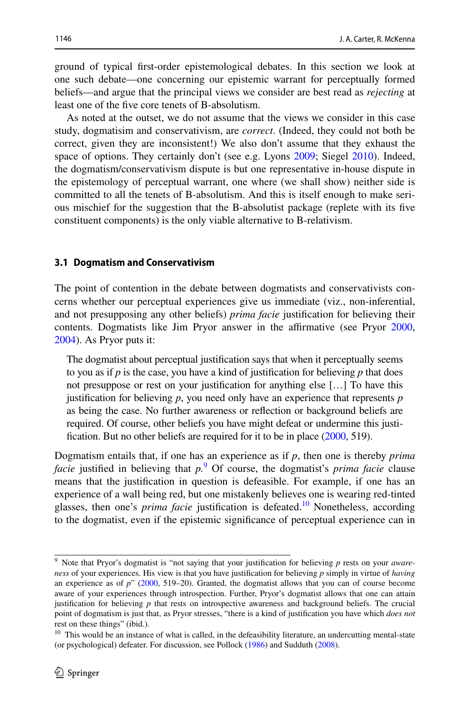ground of typical frst-order epistemological debates. In this section we look at one such debate—one concerning our epistemic warrant for perceptually formed beliefs—and argue that the principal views we consider are best read as *rejecting* at least one of the fve core tenets of B-absolutism.

As noted at the outset, we do not assume that the views we consider in this case study, dogmatisim and conservativism, are *correct*. (Indeed, they could not both be correct, given they are inconsistent!) We also don't assume that they exhaust the space of options. They certainly don't (see e.g. Lyons [2009;](#page-20-20) Siegel [2010](#page-20-21)). Indeed, the dogmatism/conservativism dispute is but one representative in-house dispute in the epistemology of perceptual warrant, one where (we shall show) neither side is committed to all the tenets of B-absolutism. And this is itself enough to make serious mischief for the suggestion that the B-absolutist package (replete with its fve constituent components) is the only viable alternative to B-relativism.

#### **3.1 Dogmatism and Conservativism**

The point of contention in the debate between dogmatists and conservativists concerns whether our perceptual experiences give us immediate (viz., non-inferential, and not presupposing any other beliefs) *prima facie* justifcation for believing their contents. Dogmatists like Jim Pryor answer in the affirmative (see Pryor [2000,](#page-20-8) [2004](#page-20-9)). As Pryor puts it:

The dogmatist about perceptual justifcation says that when it perceptually seems to you as if *p* is the case, you have a kind of justifcation for believing *p* that does not presuppose or rest on your justifcation for anything else […] To have this justifcation for believing *p*, you need only have an experience that represents *p* as being the case. No further awareness or refection or background beliefs are required. Of course, other beliefs you have might defeat or undermine this justi-fication. But no other beliefs are required for it to be in place [\(2000,](#page-20-8) 519).

Dogmatism entails that, if one has an experience as if *p*, then one is thereby *prima facie* justifed in believing that *p.*[9](#page-7-0) Of course, the dogmatist's *prima facie* clause means that the justifcation in question is defeasible. For example, if one has an experience of a wall being red, but one mistakenly believes one is wearing red-tinted glasses, then one's *prima facie* justifcation is defeated[.10](#page-7-1) Nonetheless, according to the dogmatist, even if the epistemic signifcance of perceptual experience can in

<span id="page-7-0"></span><sup>9</sup> Note that Pryor's dogmatist is "not saying that your justifcation for believing *p* rests on your *awareness* of your experiences. His view is that you have justifcation for believing *p* simply in virtue of *having* an experience as of *p*" ([2000,](#page-20-8) 519–20). Granted, the dogmatist allows that you can of course become aware of your experiences through introspection. Further, Pryor's dogmatist allows that one can attain justifcation for believing *p* that rests on introspective awareness and background beliefs. The crucial point of dogmatism is just that, as Pryor stresses, "there is a kind of justifcation you have which *does not* rest on these things" (ibid.).

<span id="page-7-1"></span><sup>&</sup>lt;sup>10</sup> This would be an instance of what is called, in the defeasibility literature, an undercutting mental-state (or psychological) defeater. For discussion, see Pollock ([1986\)](#page-20-22) and Sudduth [\(2008](#page-20-23)).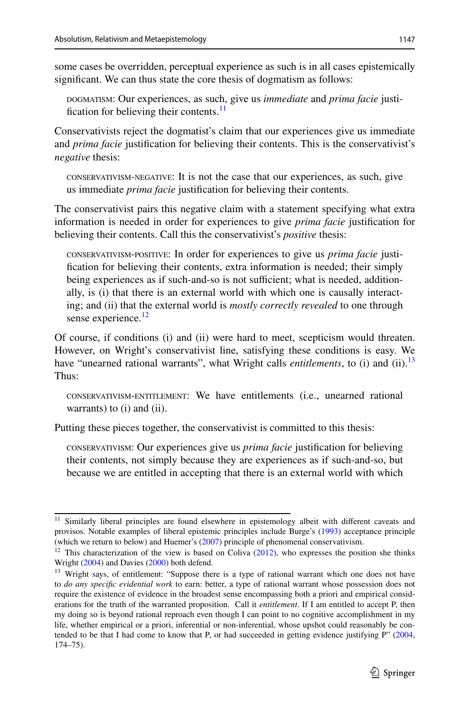some cases be overridden, perceptual experience as such is in all cases epistemically signifcant. We can thus state the core thesis of dogmatism as follows:

dogmatism: Our experiences, as such, give us *immediate* and *prima facie* justi-fication for believing their contents.<sup>[11](#page-8-0)</sup>

Conservativists reject the dogmatist's claim that our experiences give us immediate and *prima facie* justifcation for believing their contents. This is the conservativist's *negative* thesis:

conservativism-negative: It is not the case that our experiences, as such, give us immediate *prima facie* justifcation for believing their contents.

The conservativist pairs this negative claim with a statement specifying what extra information is needed in order for experiences to give *prima facie* justifcation for believing their contents. Call this the conservativist's *positive* thesis:

conservativism-positive: In order for experiences to give us *prima facie* justifcation for believing their contents, extra information is needed; their simply being experiences as if such-and-so is not sufficient; what is needed, additionally, is (i) that there is an external world with which one is causally interacting; and (ii) that the external world is *mostly correctly revealed* to one through sense experience.<sup>[12](#page-8-1)</sup>

Of course, if conditions (i) and (ii) were hard to meet, scepticism would threaten. However, on Wright's conservativist line, satisfying these conditions is easy. We have "unearned rational warrants", what Wright calls *entitlements*, to (i) and (ii).<sup>[13](#page-8-2)</sup> Thus:

conservativism-entitlement: We have entitlements (i.e., unearned rational warrants) to (i) and (ii).

Putting these pieces together, the conservativist is committed to this thesis:

conservativism: Our experiences give us *prima facie* justifcation for believing their contents, not simply because they are experiences as if such-and-so, but because we are entitled in accepting that there is an external world with which

<span id="page-8-0"></span><sup>&</sup>lt;sup>11</sup> Similarly liberal principles are found elsewhere in epistemology albeit with different caveats and provisos. Notable examples of liberal epistemic principles include Burge's [\(1993](#page-19-11)) acceptance principle (which we return to below) and Huemer's ([2007\)](#page-20-24) principle of phenomenal conservativism.

<span id="page-8-1"></span> $12$  This characterization of the view is based on Coliva ([2012\)](#page-19-12), who expresses the position she thinks Wright [\(2004](#page-20-10)) and Davies [\(2000](#page-20-12)) both defend.

<span id="page-8-2"></span><sup>&</sup>lt;sup>13</sup> Wright says, of entitlement: "Suppose there is a type of rational warrant which one does not have to *do any specifc evidential work* to earn: better, a type of rational warrant whose possession does not require the existence of evidence in the broadest sense encompassing both a priori and empirical considerations for the truth of the warranted proposition. Call it *entitlement*. If I am entitled to accept P, then my doing so is beyond rational reproach even though I can point to no cognitive accomplishment in my life, whether empirical or a priori, inferential or non-inferential, whose upshot could reasonably be contended to be that I had come to know that P, or had succeeded in getting evidence justifying P" [\(2004](#page-20-10), 174–75).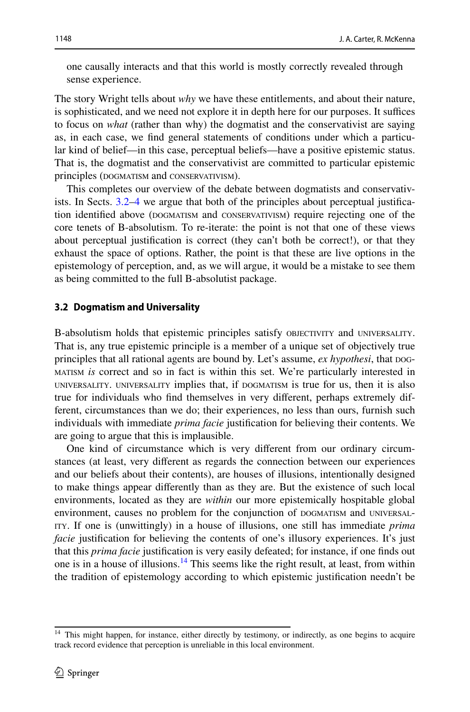one causally interacts and that this world is mostly correctly revealed through sense experience.

The story Wright tells about *why* we have these entitlements, and about their nature, is sophisticated, and we need not explore it in depth here for our purposes. It suffices to focus on *what* (rather than why) the dogmatist and the conservativist are saying as, in each case, we fnd general statements of conditions under which a particular kind of belief—in this case, perceptual beliefs—have a positive epistemic status. That is, the dogmatist and the conservativist are committed to particular epistemic principles (DOGMATISM and CONSERVATIVISM).

This completes our overview of the debate between dogmatists and conservativists. In Sects. [3.2–](#page-9-0)[4](#page-17-0) we argue that both of the principles about perceptual justifcation identified above (DOGMATISM and CONSERVATIVISM) require rejecting one of the core tenets of B-absolutism. To re-iterate: the point is not that one of these views about perceptual justifcation is correct (they can't both be correct!), or that they exhaust the space of options. Rather, the point is that these are live options in the epistemology of perception, and, as we will argue, it would be a mistake to see them as being committed to the full B-absolutist package.

#### <span id="page-9-0"></span>**3.2 Dogmatism and Universality**

B-absolutism holds that epistemic principles satisfy objectivity and universality. That is, any true epistemic principle is a member of a unique set of objectively true principles that all rational agents are bound by. Let's assume, *ex hypothesi*, that pogmatism *is* correct and so in fact is within this set. We're particularly interested in universality. universality implies that, if dogmatism is true for us, then it is also true for individuals who fnd themselves in very diferent, perhaps extremely different, circumstances than we do; their experiences, no less than ours, furnish such individuals with immediate *prima facie* justifcation for believing their contents. We are going to argue that this is implausible.

One kind of circumstance which is very diferent from our ordinary circumstances (at least, very diferent as regards the connection between our experiences and our beliefs about their contents), are houses of illusions, intentionally designed to make things appear diferently than as they are. But the existence of such local environments, located as they are *within* our more epistemically hospitable global environment, causes no problem for the conjunction of DOGMATISM and UNIVERSALity. If one is (unwittingly) in a house of illusions, one still has immediate *prima facie* justification for believing the contents of one's illusory experiences. It's just that this *prima facie* justifcation is very easily defeated; for instance, if one fnds out one is in a house of illusions.<sup>[14](#page-9-1)</sup> This seems like the right result, at least, from within the tradition of epistemology according to which epistemic justifcation needn't be

<span id="page-9-1"></span><sup>&</sup>lt;sup>14</sup> This might happen, for instance, either directly by testimony, or indirectly, as one begins to acquire track record evidence that perception is unreliable in this local environment.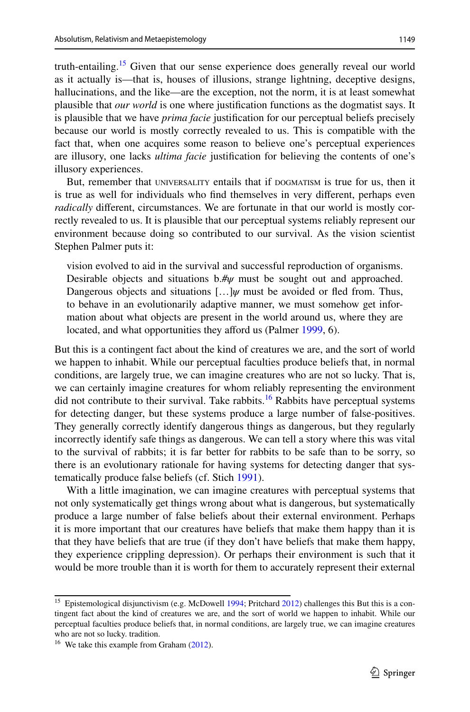truth-entailing.<sup>[15](#page-10-0)</sup> Given that our sense experience does generally reveal our world as it actually is—that is, houses of illusions, strange lightning, deceptive designs, hallucinations, and the like—are the exception, not the norm, it is at least somewhat plausible that *our world* is one where justifcation functions as the dogmatist says. It is plausible that we have *prima facie* justifcation for our perceptual beliefs precisely because our world is mostly correctly revealed to us. This is compatible with the fact that, when one acquires some reason to believe one's perceptual experiences are illusory, one lacks *ultima facie* justifcation for believing the contents of one's illusory experiences.

But, remember that UNIVERSALITY entails that if DOGMATISM is true for us, then it is true as well for individuals who fnd themselves in very diferent, perhaps even *radically* diferent, circumstances. We are fortunate in that our world is mostly correctly revealed to us. It is plausible that our perceptual systems reliably represent our environment because doing so contributed to our survival. As the vision scientist Stephen Palmer puts it:

vision evolved to aid in the survival and successful reproduction of organisms. Desirable objects and situations b.*#ψ* must be sought out and approached. Dangerous objects and situations […]*ψ* must be avoided or fed from. Thus, to behave in an evolutionarily adaptive manner, we must somehow get information about what objects are present in the world around us, where they are located, and what opportunities they afford us (Palmer [1999,](#page-20-25) 6).

But this is a contingent fact about the kind of creatures we are, and the sort of world we happen to inhabit. While our perceptual faculties produce beliefs that, in normal conditions, are largely true, we can imagine creatures who are not so lucky. That is, we can certainly imagine creatures for whom reliably representing the environment did not contribute to their survival. Take rabbits.<sup>16</sup> Rabbits have perceptual systems for detecting danger, but these systems produce a large number of false-positives. They generally correctly identify dangerous things as dangerous, but they regularly incorrectly identify safe things as dangerous. We can tell a story where this was vital to the survival of rabbits; it is far better for rabbits to be safe than to be sorry, so there is an evolutionary rationale for having systems for detecting danger that systematically produce false beliefs (cf. Stich [1991](#page-20-26)).

With a little imagination, we can imagine creatures with perceptual systems that not only systematically get things wrong about what is dangerous, but systematically produce a large number of false beliefs about their external environment. Perhaps it is more important that our creatures have beliefs that make them happy than it is that they have beliefs that are true (if they don't have beliefs that make them happy, they experience crippling depression). Or perhaps their environment is such that it would be more trouble than it is worth for them to accurately represent their external

<span id="page-10-0"></span><sup>&</sup>lt;sup>15</sup> Epistemological disjunctivism (e.g. McDowell [1994](#page-20-27); Pritchard [2012\)](#page-20-28) challenges this But this is a contingent fact about the kind of creatures we are, and the sort of world we happen to inhabit. While our perceptual faculties produce beliefs that, in normal conditions, are largely true, we can imagine creatures who are not so lucky. tradition.

<span id="page-10-1"></span><sup>&</sup>lt;sup>16</sup> We take this example from Graham  $(2012)$  $(2012)$ .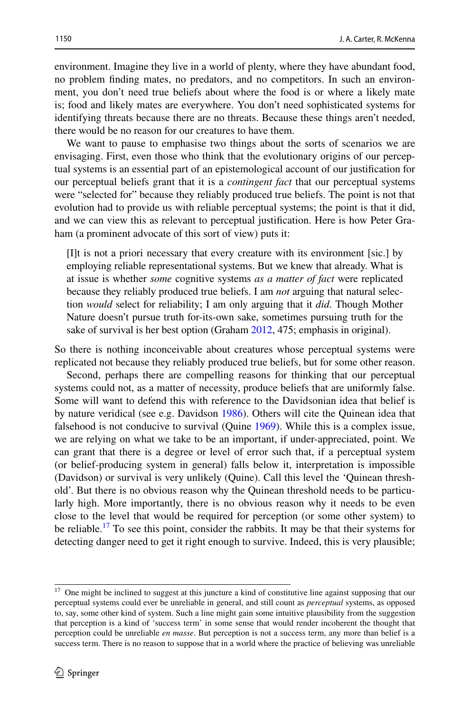environment. Imagine they live in a world of plenty, where they have abundant food, no problem fnding mates, no predators, and no competitors. In such an environment, you don't need true beliefs about where the food is or where a likely mate is; food and likely mates are everywhere. You don't need sophisticated systems for identifying threats because there are no threats. Because these things aren't needed, there would be no reason for our creatures to have them.

We want to pause to emphasise two things about the sorts of scenarios we are envisaging. First, even those who think that the evolutionary origins of our perceptual systems is an essential part of an epistemological account of our justifcation for our perceptual beliefs grant that it is a *contingent fact* that our perceptual systems were "selected for" because they reliably produced true beliefs. The point is not that evolution had to provide us with reliable perceptual systems; the point is that it did, and we can view this as relevant to perceptual justifcation. Here is how Peter Graham (a prominent advocate of this sort of view) puts it:

[I]t is not a priori necessary that every creature with its environment [sic.] by employing reliable representational systems. But we knew that already. What is at issue is whether *some* cognitive systems *as a matter of fact* were replicated because they reliably produced true beliefs. I am *not* arguing that natural selection *would* select for reliability; I am only arguing that it *did*. Though Mother Nature doesn't pursue truth for-its-own sake, sometimes pursuing truth for the sake of survival is her best option (Graham [2012,](#page-20-29) 475; emphasis in original).

So there is nothing inconceivable about creatures whose perceptual systems were replicated not because they reliably produced true beliefs, but for some other reason.

Second, perhaps there are compelling reasons for thinking that our perceptual systems could not, as a matter of necessity, produce beliefs that are uniformly false. Some will want to defend this with reference to the Davidsonian idea that belief is by nature veridical (see e.g. Davidson [1986](#page-19-13)). Others will cite the Quinean idea that falsehood is not conducive to survival (Quine [1969](#page-20-30)). While this is a complex issue, we are relying on what we take to be an important, if under-appreciated, point. We can grant that there is a degree or level of error such that, if a perceptual system (or belief-producing system in general) falls below it, interpretation is impossible (Davidson) or survival is very unlikely (Quine). Call this level the 'Quinean threshold'. But there is no obvious reason why the Quinean threshold needs to be particularly high. More importantly, there is no obvious reason why it needs to be even close to the level that would be required for perception (or some other system) to be reliable.<sup>17</sup> To see this point, consider the rabbits. It may be that their systems for detecting danger need to get it right enough to survive. Indeed, this is very plausible;

<span id="page-11-0"></span><sup>&</sup>lt;sup>17</sup> One might be inclined to suggest at this juncture a kind of constitutive line against supposing that our perceptual systems could ever be unreliable in general, and still count as *perceptual* systems, as opposed to, say, some other kind of system. Such a line might gain some intuitive plausibility from the suggestion that perception is a kind of 'success term' in some sense that would render incoherent the thought that perception could be unreliable *en masse*. But perception is not a success term, any more than belief is a success term. There is no reason to suppose that in a world where the practice of believing was unreliable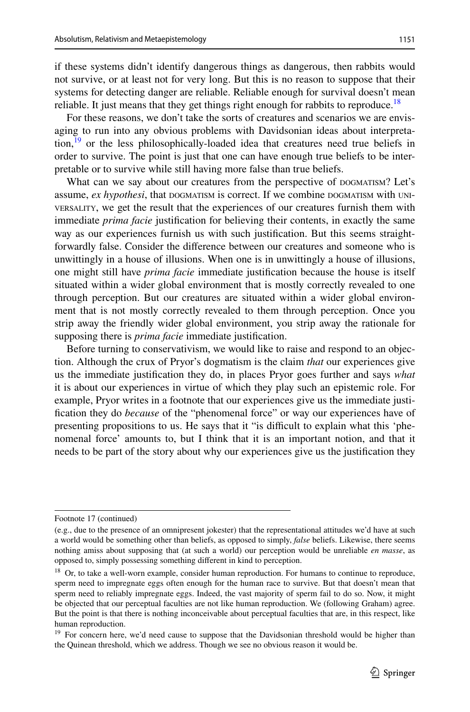if these systems didn't identify dangerous things as dangerous, then rabbits would not survive, or at least not for very long. But this is no reason to suppose that their systems for detecting danger are reliable. Reliable enough for survival doesn't mean reliable. It just means that they get things right enough for rabbits to reproduce.<sup>[18](#page-12-0)</sup>

For these reasons, we don't take the sorts of creatures and scenarios we are envisaging to run into any obvious problems with Davidsonian ideas about interpreta-tion,<sup>[19](#page-12-1)</sup> or the less philosophically-loaded idea that creatures need true beliefs in order to survive. The point is just that one can have enough true beliefs to be interpretable or to survive while still having more false than true beliefs.

What can we say about our creatures from the perspective of DOGMATISM? Let's assume, *ex hypothesi*, that pogmatism is correct. If we combine pogmatism with universality, we get the result that the experiences of our creatures furnish them with immediate *prima facie* justifcation for believing their contents, in exactly the same way as our experiences furnish us with such justifcation. But this seems straightforwardly false. Consider the diference between our creatures and someone who is unwittingly in a house of illusions. When one is in unwittingly a house of illusions, one might still have *prima facie* immediate justifcation because the house is itself situated within a wider global environment that is mostly correctly revealed to one through perception. But our creatures are situated within a wider global environment that is not mostly correctly revealed to them through perception. Once you strip away the friendly wider global environment, you strip away the rationale for supposing there is *prima facie* immediate justifcation.

Before turning to conservativism, we would like to raise and respond to an objection. Although the crux of Pryor's dogmatism is the claim *that* our experiences give us the immediate justifcation they do, in places Pryor goes further and says *what* it is about our experiences in virtue of which they play such an epistemic role. For example, Pryor writes in a footnote that our experiences give us the immediate justifcation they do *because* of the "phenomenal force" or way our experiences have of presenting propositions to us. He says that it "is difficult to explain what this 'phenomenal force' amounts to, but I think that it is an important notion, and that it needs to be part of the story about why our experiences give us the justifcation they

Footnote 17 (continued)

<sup>(</sup>e.g., due to the presence of an omnipresent jokester) that the representational attitudes we'd have at such a world would be something other than beliefs, as opposed to simply, *false* beliefs. Likewise, there seems nothing amiss about supposing that (at such a world) our perception would be unreliable *en masse*, as opposed to, simply possessing something diferent in kind to perception.

<span id="page-12-0"></span><sup>&</sup>lt;sup>18</sup> Or, to take a well-worn example, consider human reproduction. For humans to continue to reproduce, sperm need to impregnate eggs often enough for the human race to survive. But that doesn't mean that sperm need to reliably impregnate eggs. Indeed, the vast majority of sperm fail to do so. Now, it might be objected that our perceptual faculties are not like human reproduction. We (following Graham) agree. But the point is that there is nothing inconceivable about perceptual faculties that are, in this respect, like human reproduction.

<span id="page-12-1"></span><sup>&</sup>lt;sup>19</sup> For concern here, we'd need cause to suppose that the Davidsonian threshold would be higher than the Quinean threshold, which we address. Though we see no obvious reason it would be.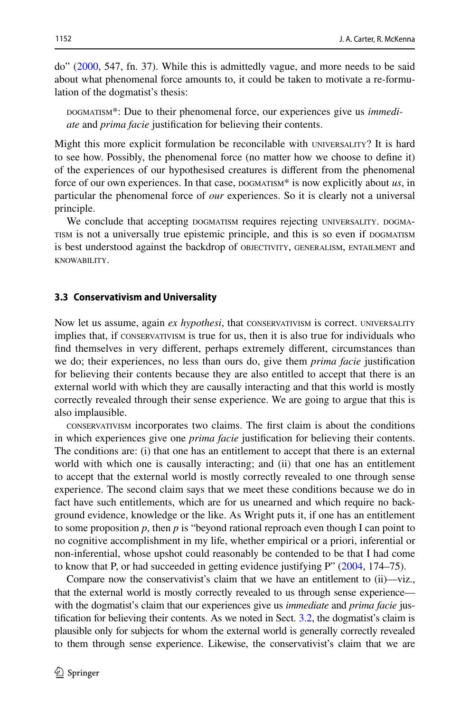do" ([2000,](#page-20-8) 547, fn. 37). While this is admittedly vague, and more needs to be said about what phenomenal force amounts to, it could be taken to motivate a re-formulation of the dogmatist's thesis:

bogmatism<sup>\*</sup>: Due to their phenomenal force, our experiences give us *immediate* and *prima facie* justifcation for believing their contents.

Might this more explicit formulation be reconcilable with universality? It is hard to see how. Possibly, the phenomenal force (no matter how we choose to defne it) of the experiences of our hypothesised creatures is diferent from the phenomenal force of our own experiences. In that case, dogmatism\* is now explicitly about *us*, in particular the phenomenal force of *our* experiences. So it is clearly not a universal principle.

We conclude that accepting DOGMATISM requires rejecting UNIVERSALITY. DOGMA-TISM is not a universally true epistemic principle, and this is so even if DOGMATISM is best understood against the backdrop of objectivity, generalism, entailment and knowability.

#### **3.3 Conservativism and Universality**

Now let us assume, again *ex hypothesi*, that conservativism is correct. universality implies that, if conservativism is true for us, then it is also true for individuals who fnd themselves in very diferent, perhaps extremely diferent, circumstances than we do; their experiences, no less than ours do, give them *prima facie* justifcation for believing their contents because they are also entitled to accept that there is an external world with which they are causally interacting and that this world is mostly correctly revealed through their sense experience. We are going to argue that this is also implausible.

conservativism incorporates two claims. The frst claim is about the conditions in which experiences give one *prima facie* justifcation for believing their contents. The conditions are: (i) that one has an entitlement to accept that there is an external world with which one is causally interacting; and (ii) that one has an entitlement to accept that the external world is mostly correctly revealed to one through sense experience. The second claim says that we meet these conditions because we do in fact have such entitlements, which are for us unearned and which require no background evidence, knowledge or the like. As Wright puts it, if one has an entitlement to some proposition  $p$ , then  $p$  is "beyond rational reproach even though I can point to no cognitive accomplishment in my life, whether empirical or a priori, inferential or non-inferential, whose upshot could reasonably be contended to be that I had come to know that P, or had succeeded in getting evidence justifying P" [\(2004](#page-20-10), 174–75).

Compare now the conservativist's claim that we have an entitlement to (ii)—viz., that the external world is mostly correctly revealed to us through sense experience with the dogmatist's claim that our experiences give us *immediate* and *prima facie* justifcation for believing their contents. As we noted in Sect. [3.2,](#page-9-0) the dogmatist's claim is plausible only for subjects for whom the external world is generally correctly revealed to them through sense experience. Likewise, the conservativist's claim that we are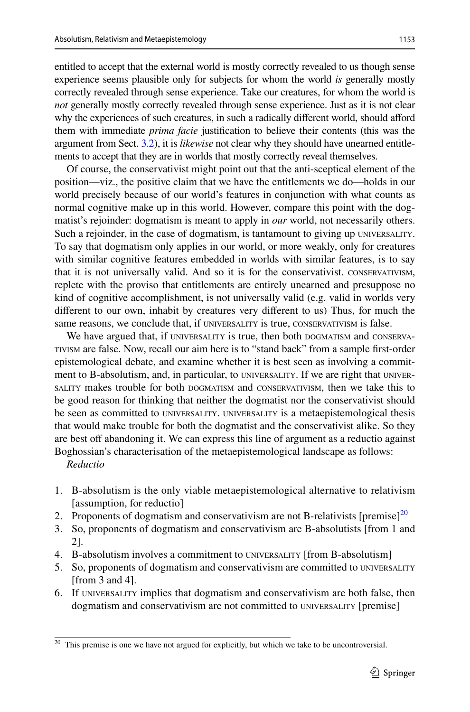entitled to accept that the external world is mostly correctly revealed to us though sense experience seems plausible only for subjects for whom the world *is* generally mostly correctly revealed through sense experience. Take our creatures, for whom the world is *not* generally mostly correctly revealed through sense experience. Just as it is not clear why the experiences of such creatures, in such a radically different world, should afford them with immediate *prima facie* justifcation to believe their contents (this was the argument from Sect. [3.2](#page-9-0)), it is *likewise* not clear why they should have unearned entitlements to accept that they are in worlds that mostly correctly reveal themselves.

Of course, the conservativist might point out that the anti-sceptical element of the position—viz., the positive claim that we have the entitlements we do—holds in our world precisely because of our world's features in conjunction with what counts as normal cognitive make up in this world. However, compare this point with the dogmatist's rejoinder: dogmatism is meant to apply in *our* world, not necessarily others. Such a rejoinder, in the case of dogmatism, is tantamount to giving up universality. To say that dogmatism only applies in our world, or more weakly, only for creatures with similar cognitive features embedded in worlds with similar features, is to say that it is not universally valid. And so it is for the conservativist. conservativism, replete with the proviso that entitlements are entirely unearned and presuppose no kind of cognitive accomplishment, is not universally valid (e.g. valid in worlds very diferent to our own, inhabit by creatures very diferent to us) Thus, for much the same reasons, we conclude that, if UNIVERSALITY is true, CONSERVATIVISM is false.

We have argued that, if UNIVERSALITY is true, then both DOGMATISM and CONSERVAtivism are false. Now, recall our aim here is to "stand back" from a sample frst-order epistemological debate, and examine whether it is best seen as involving a commitment to B-absolutism, and, in particular, to UNIVERSALITY. If we are right that UNIVERsality makes trouble for both dogmatism and conservativism, then we take this to be good reason for thinking that neither the dogmatist nor the conservativist should be seen as committed to UNIVERSALITY. UNIVERSALITY is a metaepistemological thesis that would make trouble for both the dogmatist and the conservativist alike. So they are best off abandoning it. We can express this line of argument as a reductio against Boghossian's characterisation of the metaepistemological landscape as follows:

*Reductio*

- 1. B-absolutism is the only viable metaepistemological alternative to relativism [assumption, for reductio]
- 2. Proponents of dogmatism and conservativism are not B-relativists [premise] $^{20}$  $^{20}$  $^{20}$
- 3. So, proponents of dogmatism and conservativism are B-absolutists [from 1 and 2].
- 4. B-absolutism involves a commitment to universality [from B-absolutism]
- 5. So, proponents of dogmatism and conservativism are committed to universality [from 3 and 4].
- 6. If universality implies that dogmatism and conservativism are both false, then dogmatism and conservativism are not committed to UNIVERSALITY [premise]

<span id="page-14-0"></span> $20$  This premise is one we have not argued for explicitly, but which we take to be uncontroversial.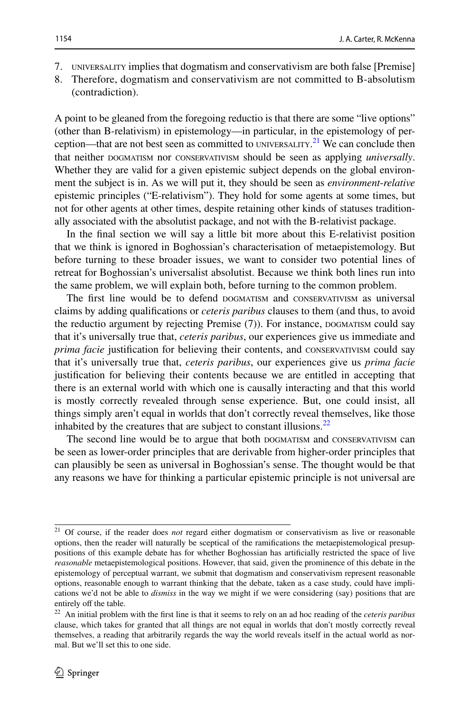- 7. universality implies that dogmatism and conservativism are both false [Premise]
- 8. Therefore, dogmatism and conservativism are not committed to B-absolutism (contradiction).

A point to be gleaned from the foregoing reductio is that there are some "live options" (other than B-relativism) in epistemology—in particular, in the epistemology of per-ception—that are not best seen as committed to UNIVERSALITY.<sup>[21](#page-15-0)</sup> We can conclude then that neither DOGMATISM nor CONSERVATIVISM should be seen as applying *universally*. Whether they are valid for a given epistemic subject depends on the global environment the subject is in. As we will put it, they should be seen as *environment*-*relative* epistemic principles ("E-relativism"). They hold for some agents at some times, but not for other agents at other times, despite retaining other kinds of statuses traditionally associated with the absolutist package, and not with the B-relativist package.

In the fnal section we will say a little bit more about this E-relativist position that we think is ignored in Boghossian's characterisation of metaepistemology. But before turning to these broader issues, we want to consider two potential lines of retreat for Boghossian's universalist absolutist. Because we think both lines run into the same problem, we will explain both, before turning to the common problem.

The first line would be to defend pogmatism and conservativism as universal claims by adding qualifcations or *ceteris paribus* clauses to them (and thus, to avoid the reductio argument by rejecting Premise  $(7)$ ). For instance, DOGMATISM could say that it's universally true that, *ceteris paribus*, our experiences give us immediate and *prima facie* justifcation for believing their contents, and conservativism could say that it's universally true that, *ceteris paribus*, our experiences give us *prima facie* justifcation for believing their contents because we are entitled in accepting that there is an external world with which one is causally interacting and that this world is mostly correctly revealed through sense experience. But, one could insist, all things simply aren't equal in worlds that don't correctly reveal themselves, like those inhabited by the creatures that are subject to constant illusions. $^{22}$ 

The second line would be to argue that both DOGMATISM and CONSERVATIVISM can be seen as lower-order principles that are derivable from higher-order principles that can plausibly be seen as universal in Boghossian's sense. The thought would be that any reasons we have for thinking a particular epistemic principle is not universal are

<span id="page-15-0"></span><sup>21</sup> Of course, if the reader does *not* regard either dogmatism or conservativism as live or reasonable options, then the reader will naturally be sceptical of the ramifcations the metaepistemological presuppositions of this example debate has for whether Boghossian has artifcially restricted the space of live *reasonable* metaepistemological positions. However, that said, given the prominence of this debate in the epistemology of perceptual warrant, we submit that dogmatism and conservativism represent reasonable options, reasonable enough to warrant thinking that the debate, taken as a case study, could have implications we'd not be able to *dismiss* in the way we might if we were considering (say) positions that are entirely off the table.

<span id="page-15-1"></span><sup>22</sup> An initial problem with the frst line is that it seems to rely on an ad hoc reading of the *ceteris paribus* clause, which takes for granted that all things are not equal in worlds that don't mostly correctly reveal themselves, a reading that arbitrarily regards the way the world reveals itself in the actual world as normal. But we'll set this to one side.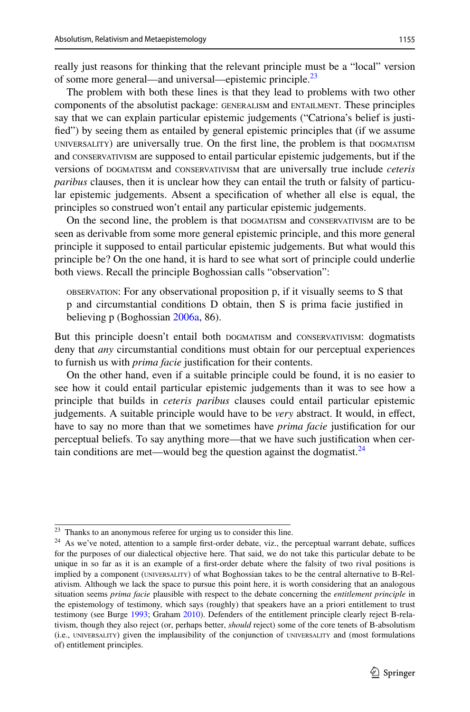really just reasons for thinking that the relevant principle must be a "local" version of some more general—and universal—epistemic principle.<sup>23</sup>

The problem with both these lines is that they lead to problems with two other components of the absolutist package: generalism and entailment. These principles say that we can explain particular epistemic judgements ("Catriona's belief is justifed") by seeing them as entailed by general epistemic principles that (if we assume universality) are universally true. On the frst line, the problem is that dogmatism and conservativism are supposed to entail particular epistemic judgements, but if the versions of dogmatism and conservativism that are universally true include *ceteris paribus* clauses, then it is unclear how they can entail the truth or falsity of particular epistemic judgements. Absent a specifcation of whether all else is equal, the principles so construed won't entail any particular epistemic judgements.

On the second line, the problem is that dogmatism and conservativism are to be seen as derivable from some more general epistemic principle, and this more general principle it supposed to entail particular epistemic judgements. But what would this principle be? On the one hand, it is hard to see what sort of principle could underlie both views. Recall the principle Boghossian calls "observation":

observation: For any observational proposition p, if it visually seems to S that p and circumstantial conditions D obtain, then S is prima facie justifed in believing p (Boghossian [2006a](#page-19-0), 86).

But this principle doesn't entail both dogmatism and conservativism: dogmatists deny that *any* circumstantial conditions must obtain for our perceptual experiences to furnish us with *prima facie* justifcation for their contents.

On the other hand, even if a suitable principle could be found, it is no easier to see how it could entail particular epistemic judgements than it was to see how a principle that builds in *ceteris paribus* clauses could entail particular epistemic judgements. A suitable principle would have to be *very* abstract. It would, in efect, have to say no more than that we sometimes have *prima facie* justifcation for our perceptual beliefs. To say anything more—that we have such justifcation when certain conditions are met—would beg the question against the dogmatist. $^{24}$  $^{24}$  $^{24}$ 

<span id="page-16-0"></span><sup>&</sup>lt;sup>23</sup> Thanks to an anonymous referee for urging us to consider this line.

<span id="page-16-1"></span> $24$  As we've noted, attention to a sample first-order debate, viz., the perceptual warrant debate, suffices for the purposes of our dialectical objective here. That said, we do not take this particular debate to be unique in so far as it is an example of a frst-order debate where the falsity of two rival positions is implied by a component (universality) of what Boghossian takes to be the central alternative to B-Relativism. Although we lack the space to pursue this point here, it is worth considering that an analogous situation seems *prima facie* plausible with respect to the debate concerning the *entitlement principle* in the epistemology of testimony, which says (roughly) that speakers have an a priori entitlement to trust testimony (see Burge [1993](#page-19-11); Graham [2010](#page-20-31)). Defenders of the entitlement principle clearly reject B-relativism, though they also reject (or, perhaps better, *should* reject) some of the core tenets of B-absolutism (i.e., universality) given the implausibility of the conjunction of universality and (most formulations of) entitlement principles.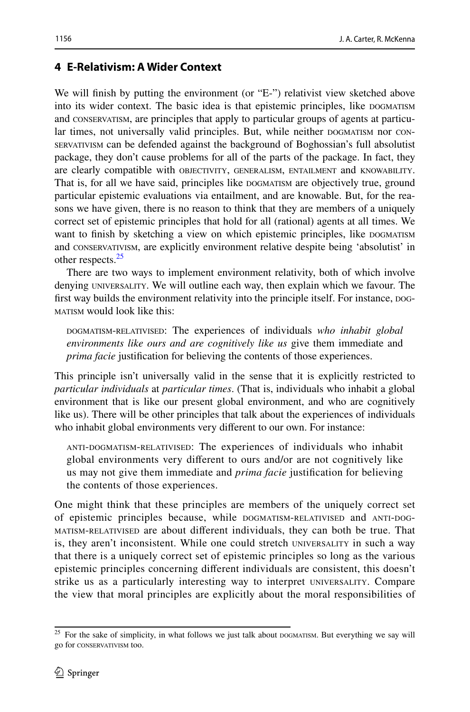## <span id="page-17-0"></span>**4 E‑Relativism: A Wider Context**

We will finish by putting the environment (or "E-") relativist view sketched above into its wider context. The basic idea is that epistemic principles, like DOGMATISM and conservatism, are principles that apply to particular groups of agents at particular times, not universally valid principles. But, while neither DOGMATISM nor CONservativism can be defended against the background of Boghossian's full absolutist package, they don't cause problems for all of the parts of the package. In fact, they are clearly compatible with OBJECTIVITY, GENERALISM, ENTAILMENT and KNOWABILITY. That is, for all we have said, principles like DOGMATISM are objectively true, ground particular epistemic evaluations via entailment, and are knowable. But, for the reasons we have given, there is no reason to think that they are members of a uniquely correct set of epistemic principles that hold for all (rational) agents at all times. We want to finish by sketching a view on which epistemic principles, like DOGMATISM and conservativism, are explicitly environment relative despite being 'absolutist' in other respects.<sup>[25](#page-17-1)</sup>

There are two ways to implement environment relativity, both of which involve denying UNIVERSALITY. We will outline each way, then explain which we favour. The first way builds the environment relativity into the principle itself. For instance, pogmatism would look like this:

dogmatism-relativised: The experiences of individuals *who inhabit global environments like ours and are cognitively like us* give them immediate and *prima facie* justifcation for believing the contents of those experiences.

This principle isn't universally valid in the sense that it is explicitly restricted to *particular individuals* at *particular times*. (That is, individuals who inhabit a global environment that is like our present global environment, and who are cognitively like us). There will be other principles that talk about the experiences of individuals who inhabit global environments very diferent to our own. For instance:

anti-dogmatism-relativised: The experiences of individuals who inhabit global environments very diferent to ours and/or are not cognitively like us may not give them immediate and *prima facie* justifcation for believing the contents of those experiences.

One might think that these principles are members of the uniquely correct set of epistemic principles because, while DOGMATISM-RELATIVISED and ANTI-DOGmatism-relativised are about diferent individuals, they can both be true. That is, they aren't inconsistent. While one could stretch universality in such a way that there is a uniquely correct set of epistemic principles so long as the various epistemic principles concerning diferent individuals are consistent, this doesn't strike us as a particularly interesting way to interpret universality. Compare the view that moral principles are explicitly about the moral responsibilities of

<span id="page-17-1"></span><sup>&</sup>lt;sup>25</sup> For the sake of simplicity, in what follows we just talk about DOGMATISM. But everything we say will go for conservativism too.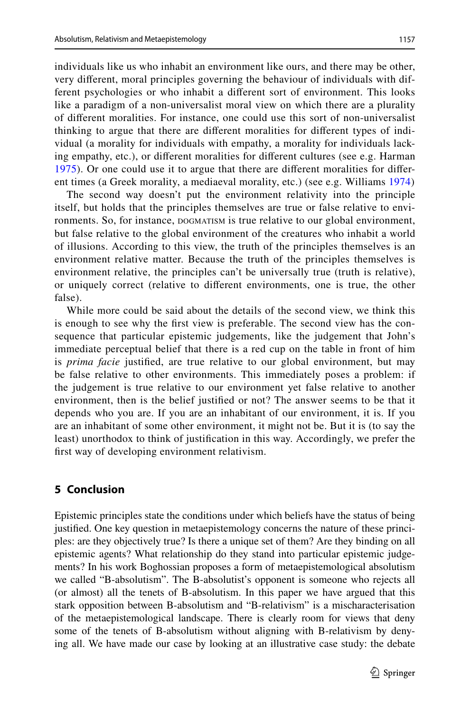individuals like us who inhabit an environment like ours, and there may be other, very diferent, moral principles governing the behaviour of individuals with different psychologies or who inhabit a diferent sort of environment. This looks like a paradigm of a non-universalist moral view on which there are a plurality of diferent moralities. For instance, one could use this sort of non-universalist thinking to argue that there are diferent moralities for diferent types of individual (a morality for individuals with empathy, a morality for individuals lacking empathy, etc.), or diferent moralities for diferent cultures (see e.g. Harman [1975\)](#page-20-32). Or one could use it to argue that there are diferent moralities for diferent times (a Greek morality, a mediaeval morality, etc.) (see e.g. Williams [1974](#page-20-33))

The second way doesn't put the environment relativity into the principle itself, but holds that the principles themselves are true or false relative to environments. So, for instance, DOGMATISM is true relative to our global environment, but false relative to the global environment of the creatures who inhabit a world of illusions. According to this view, the truth of the principles themselves is an environment relative matter. Because the truth of the principles themselves is environment relative, the principles can't be universally true (truth is relative), or uniquely correct (relative to diferent environments, one is true, the other false).

While more could be said about the details of the second view, we think this is enough to see why the frst view is preferable. The second view has the consequence that particular epistemic judgements, like the judgement that John's immediate perceptual belief that there is a red cup on the table in front of him is *prima facie* justifed, are true relative to our global environment, but may be false relative to other environments. This immediately poses a problem: if the judgement is true relative to our environment yet false relative to another environment, then is the belief justifed or not? The answer seems to be that it depends who you are. If you are an inhabitant of our environment, it is. If you are an inhabitant of some other environment, it might not be. But it is (to say the least) unorthodox to think of justifcation in this way. Accordingly, we prefer the frst way of developing environment relativism.

## **5 Conclusion**

Epistemic principles state the conditions under which beliefs have the status of being justifed. One key question in metaepistemology concerns the nature of these principles: are they objectively true? Is there a unique set of them? Are they binding on all epistemic agents? What relationship do they stand into particular epistemic judgements? In his work Boghossian proposes a form of metaepistemological absolutism we called "B-absolutism". The B-absolutist's opponent is someone who rejects all (or almost) all the tenets of B-absolutism. In this paper we have argued that this stark opposition between B-absolutism and "B-relativism" is a mischaracterisation of the metaepistemological landscape. There is clearly room for views that deny some of the tenets of B-absolutism without aligning with B-relativism by denying all. We have made our case by looking at an illustrative case study: the debate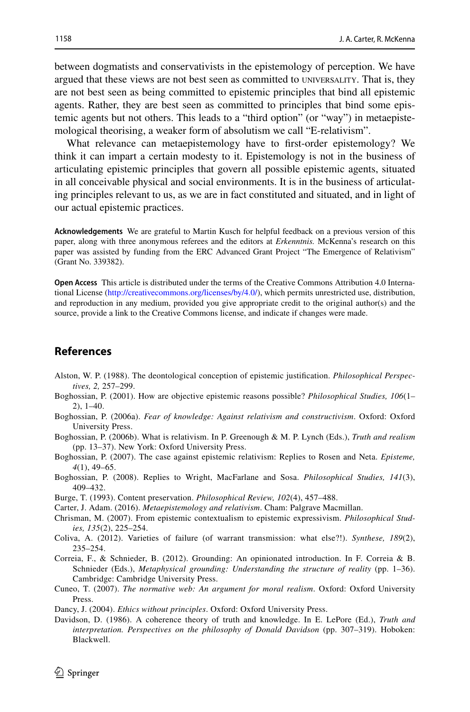between dogmatists and conservativists in the epistemology of perception. We have argued that these views are not best seen as committed to universality. That is, they are not best seen as being committed to epistemic principles that bind all epistemic agents. Rather, they are best seen as committed to principles that bind some epistemic agents but not others. This leads to a "third option" (or "way") in metaepistemological theorising, a weaker form of absolutism we call "E-relativism".

What relevance can metaepistemology have to frst-order epistemology? We think it can impart a certain modesty to it. Epistemology is not in the business of articulating epistemic principles that govern all possible epistemic agents, situated in all conceivable physical and social environments. It is in the business of articulating principles relevant to us, as we are in fact constituted and situated, and in light of our actual epistemic practices.

**Acknowledgements** We are grateful to Martin Kusch for helpful feedback on a previous version of this paper, along with three anonymous referees and the editors at *Erkenntnis.* McKenna's research on this paper was assisted by funding from the ERC Advanced Grant Project "The Emergence of Relativism" (Grant No. 339382).

**Open Access** This article is distributed under the terms of the Creative Commons Attribution 4.0 International License ([http://creativecommons.org/licenses/by/4.0/\)](http://creativecommons.org/licenses/by/4.0/), which permits unrestricted use, distribution, and reproduction in any medium, provided you give appropriate credit to the original author(s) and the source, provide a link to the Creative Commons license, and indicate if changes were made.

### **References**

- <span id="page-19-9"></span>Alston, W. P. (1988). The deontological conception of epistemic justifcation. *Philosophical Perspectives, 2,* 257–299.
- <span id="page-19-4"></span>Boghossian, P. (2001). How are objective epistemic reasons possible? *Philosophical Studies, 106*(1– 2), 1–40.
- <span id="page-19-0"></span>Boghossian, P. (2006a). *Fear of knowledge: Against relativism and constructivism*. Oxford: Oxford University Press.
- <span id="page-19-5"></span>Boghossian, P. (2006b). What is relativism. In P. Greenough & M. P. Lynch (Eds.), *Truth and realism* (pp. 13–37). New York: Oxford University Press.

<span id="page-19-2"></span>Boghossian, P. (2007). The case against epistemic relativism: Replies to Rosen and Neta. *Episteme, 4*(1), 49–65.

- <span id="page-19-3"></span>Boghossian, P. (2008). Replies to Wright, MacFarlane and Sosa. *Philosophical Studies, 141*(3), 409–432.
- <span id="page-19-11"></span>Burge, T. (1993). Content preservation. *Philosophical Review, 102*(4), 457–488.
- <span id="page-19-1"></span>Carter, J. Adam. (2016). *Metaepistemology and relativism*. Cham: Palgrave Macmillan.
- <span id="page-19-7"></span>Chrisman, M. (2007). From epistemic contextualism to epistemic expressivism. *Philosophical Studies, 135*(2), 225–254.
- <span id="page-19-12"></span>Coliva, A. (2012). Varieties of failure (of warrant transmission: what else?!). *Synthese, 189*(2), 235–254.
- <span id="page-19-10"></span>Correia, F., & Schnieder, B. (2012). Grounding: An opinionated introduction. In F. Correia & B. Schnieder (Eds.), *Metaphysical grounding: Understanding the structure of reality* (pp. 1–36). Cambridge: Cambridge University Press.
- <span id="page-19-6"></span>Cuneo, T. (2007). *The normative web: An argument for moral realism*. Oxford: Oxford University Press.
- <span id="page-19-8"></span>Dancy, J. (2004). *Ethics without principles*. Oxford: Oxford University Press.
- <span id="page-19-13"></span>Davidson, D. (1986). A coherence theory of truth and knowledge. In E. LePore (Ed.), *Truth and interpretation. Perspectives on the philosophy of Donald Davidson* (pp. 307–319). Hoboken: Blackwell.